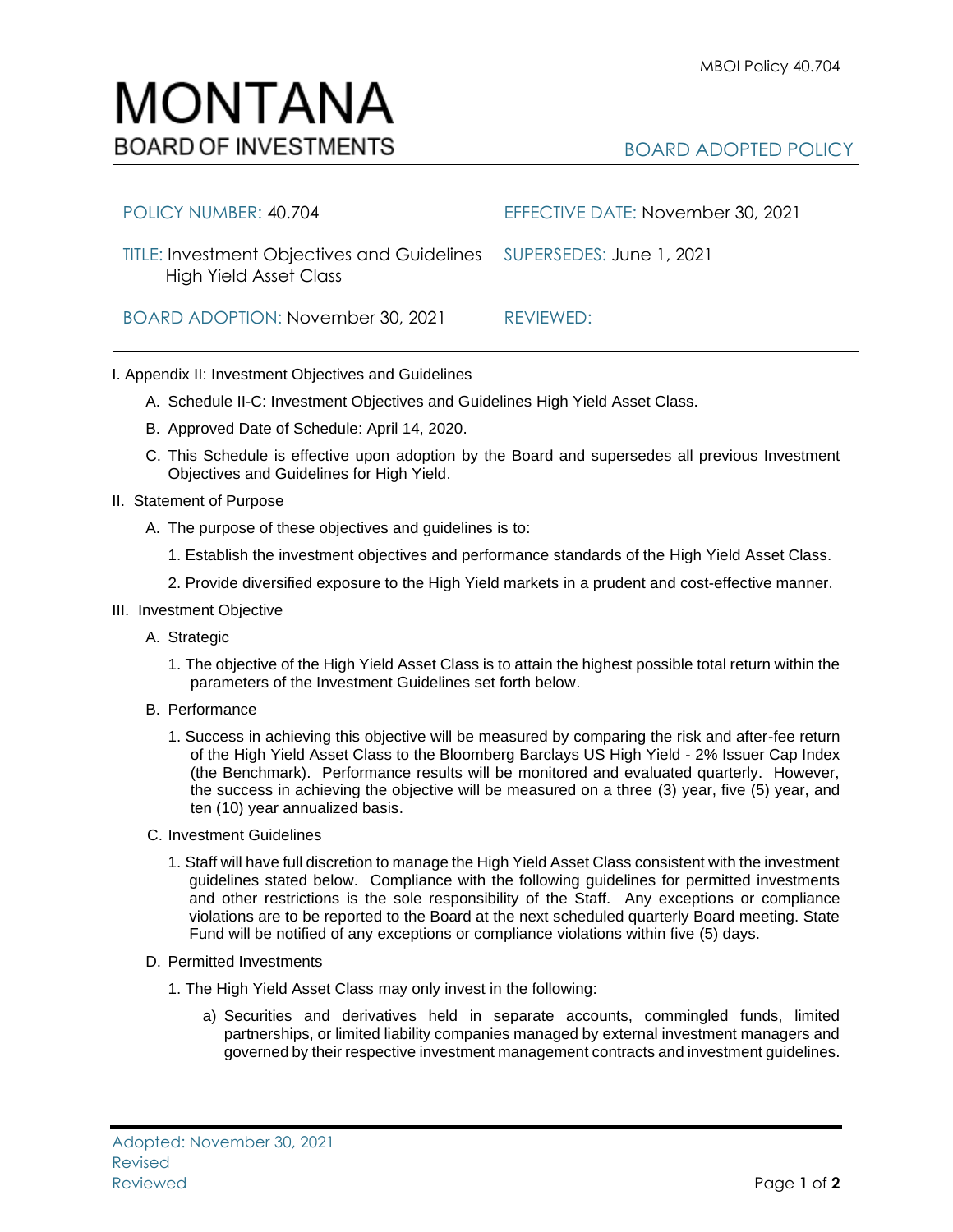# MONTANA **BOARD OF INVESTMENTS**

# BOARD ADOPTED POLICY

| POLICY NUMBER: 40.704                                                                                 | EFFECTIVE DATE: November 30, 2021 |
|-------------------------------------------------------------------------------------------------------|-----------------------------------|
| TITLE: Investment Objectives and Guidelines SUPERSEDES: June 1, 2021<br><b>High Yield Asset Class</b> |                                   |
| BOARD ADOPTION: November 30, 2021                                                                     | REVIEWED:                         |

## I. Appendix II: Investment Objectives and Guidelines

- A. Schedule II-C: Investment Objectives and Guidelines High Yield Asset Class.
- B. Approved Date of Schedule: April 14, 2020.
- C. This Schedule is effective upon adoption by the Board and supersedes all previous Investment Objectives and Guidelines for High Yield.
- II. Statement of Purpose
	- A. The purpose of these objectives and guidelines is to:
		- 1. Establish the investment objectives and performance standards of the High Yield Asset Class.
		- 2. Provide diversified exposure to the High Yield markets in a prudent and cost-effective manner.

#### III. Investment Objective

- A. Strategic
	- 1. The objective of the High Yield Asset Class is to attain the highest possible total return within the parameters of the Investment Guidelines set forth below.

#### B. Performance

- 1. Success in achieving this objective will be measured by comparing the risk and after-fee return of the High Yield Asset Class to the Bloomberg Barclays US High Yield - 2% Issuer Cap Index (the Benchmark). Performance results will be monitored and evaluated quarterly. However, the success in achieving the objective will be measured on a three (3) year, five (5) year, and ten (10) year annualized basis.
- C. Investment Guidelines
	- 1. Staff will have full discretion to manage the High Yield Asset Class consistent with the investment guidelines stated below. Compliance with the following guidelines for permitted investments and other restrictions is the sole responsibility of the Staff. Any exceptions or compliance violations are to be reported to the Board at the next scheduled quarterly Board meeting. State Fund will be notified of any exceptions or compliance violations within five (5) days.
- D. Permitted Investments
	- 1. The High Yield Asset Class may only invest in the following:
		- a) Securities and derivatives held in separate accounts, commingled funds, limited partnerships, or limited liability companies managed by external investment managers and governed by their respective investment management contracts and investment guidelines.